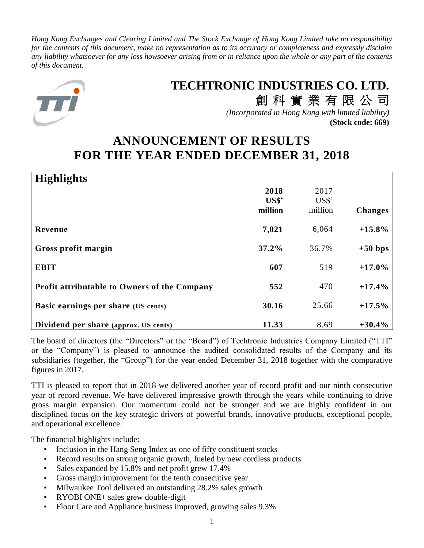*Hong Kong Exchanges and Clearing Limited and The Stock Exchange of Hong Kong Limited take no responsibility for the contents of this document, make no representation as to its accuracy or completeness and expressly disclaim any liability whatsoever for any loss howsoever arising from or in reliance upon the whole or any part of the contents of this document.*



# **TECHTRONIC INDUSTRIES CO. LTD.**

創 科 實 業 有 限 公 司 *(Incorporated in Hong Kong with limited liability)* **(Stock code: 669)**

# **ANNOUNCEMENT OF RESULTS FOR THE YEAR ENDED DECEMBER 31, 2018**

| <b>Highlights</b>                                   |         |                |                |
|-----------------------------------------------------|---------|----------------|----------------|
|                                                     | 2018    | 2017           |                |
|                                                     | US\$'   | $US$^{\prime}$ |                |
|                                                     | million | million        | <b>Changes</b> |
| Revenue                                             | 7,021   | 6,064          | $+15.8%$       |
| Gross profit margin                                 | 37.2%   | 36.7%          | $+50$ bps      |
| <b>EBIT</b>                                         | 607     | 519            | $+17.0%$       |
| <b>Profit attributable to Owners of the Company</b> | 552     | 470            | $+17.4%$       |
| <b>Basic earnings per share (US cents)</b>          | 30.16   | 25.66          | $+17.5%$       |
| Dividend per share (approx. US cents)               | 11.33   | 8.69           | $+30.4%$       |

The board of directors (the "Directors" or the "Board") of Techtronic Industries Company Limited ("TTI" or the "Company") is pleased to announce the audited consolidated results of the Company and its subsidiaries (together, the "Group") for the year ended December 31, 2018 together with the comparative figures in 2017.

TTI is pleased to report that in 2018 we delivered another year of record profit and our ninth consecutive year of record revenue. We have delivered impressive growth through the years while continuing to drive gross margin expansion. Our momentum could not be stronger and we are highly confident in our disciplined focus on the key strategic drivers of powerful brands, innovative products, exceptional people, and operational excellence.

The financial highlights include:

- Inclusion in the Hang Seng Index as one of fifty constituent stocks
- Record results on strong organic growth, fueled by new cordless products
- Sales expanded by 15.8% and net profit grew 17.4%
- Gross margin improvement for the tenth consecutive year
- Milwaukee Tool delivered an outstanding 28.2% sales growth
- RYOBI ONE+ sales grew double-digit
- Floor Care and Appliance business improved, growing sales 9.3%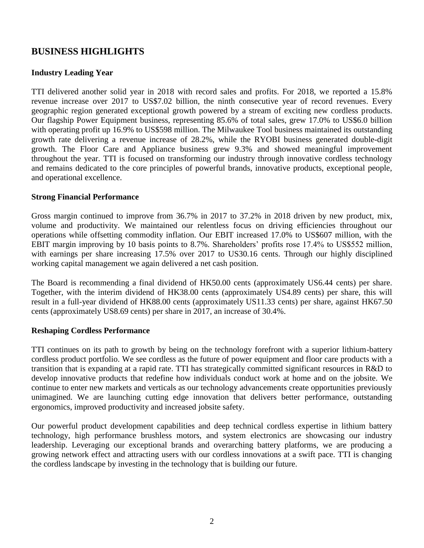# **BUSINESS HIGHLIGHTS**

### **Industry Leading Year**

TTI delivered another solid year in 2018 with record sales and profits. For 2018, we reported a 15.8% revenue increase over 2017 to US\$7.02 billion, the ninth consecutive year of record revenues. Every geographic region generated exceptional growth powered by a stream of exciting new cordless products. Our flagship Power Equipment business, representing 85.6% of total sales, grew 17.0% to US\$6.0 billion with operating profit up 16.9% to US\$598 million. The Milwaukee Tool business maintained its outstanding growth rate delivering a revenue increase of 28.2%, while the RYOBI business generated double-digit growth. The Floor Care and Appliance business grew 9.3% and showed meaningful improvement throughout the year. TTI is focused on transforming our industry through innovative cordless technology and remains dedicated to the core principles of powerful brands, innovative products, exceptional people, and operational excellence.

### **Strong Financial Performance**

Gross margin continued to improve from 36.7% in 2017 to 37.2% in 2018 driven by new product, mix, volume and productivity. We maintained our relentless focus on driving efficiencies throughout our operations while offsetting commodity inflation. Our EBIT increased 17.0% to US\$607 million, with the EBIT margin improving by 10 basis points to 8.7%. Shareholders' profits rose 17.4% to US\$552 million, with earnings per share increasing 17.5% over 2017 to US30.16 cents. Through our highly disciplined working capital management we again delivered a net cash position.

The Board is recommending a final dividend of HK50.00 cents (approximately US6.44 cents) per share. Together, with the interim dividend of HK38.00 cents (approximately US4.89 cents) per share, this will result in a full-year dividend of HK88.00 cents (approximately US11.33 cents) per share, against HK67.50 cents (approximately US8.69 cents) per share in 2017, an increase of 30.4%.

### **Reshaping Cordless Performance**

TTI continues on its path to growth by being on the technology forefront with a superior lithium-battery cordless product portfolio. We see cordless as the future of power equipment and floor care products with a transition that is expanding at a rapid rate. TTI has strategically committed significant resources in R&D to develop innovative products that redefine how individuals conduct work at home and on the jobsite. We continue to enter new markets and verticals as our technology advancements create opportunities previously unimagined. We are launching cutting edge innovation that delivers better performance, outstanding ergonomics, improved productivity and increased jobsite safety.

Our powerful product development capabilities and deep technical cordless expertise in lithium battery technology, high performance brushless motors, and system electronics are showcasing our industry leadership. Leveraging our exceptional brands and overarching battery platforms, we are producing a growing network effect and attracting users with our cordless innovations at a swift pace. TTI is changing the cordless landscape by investing in the technology that is building our future.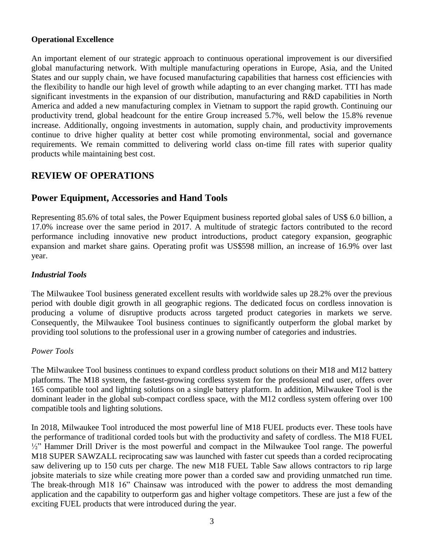### **Operational Excellence**

An important element of our strategic approach to continuous operational improvement is our diversified global manufacturing network. With multiple manufacturing operations in Europe, Asia, and the United States and our supply chain, we have focused manufacturing capabilities that harness cost efficiencies with the flexibility to handle our high level of growth while adapting to an ever changing market. TTI has made significant investments in the expansion of our distribution, manufacturing and R&D capabilities in North America and added a new manufacturing complex in Vietnam to support the rapid growth. Continuing our productivity trend, global headcount for the entire Group increased 5.7%, well below the 15.8% revenue increase. Additionally, ongoing investments in automation, supply chain, and productivity improvements continue to drive higher quality at better cost while promoting environmental, social and governance requirements. We remain committed to delivering world class on-time fill rates with superior quality products while maintaining best cost.

# **REVIEW OF OPERATIONS**

# **Power Equipment, Accessories and Hand Tools**

Representing 85.6% of total sales, the Power Equipment business reported global sales of US\$ 6.0 billion, a 17.0% increase over the same period in 2017. A multitude of strategic factors contributed to the record performance including innovative new product introductions, product category expansion, geographic expansion and market share gains. Operating profit was US\$598 million, an increase of 16.9% over last year.

### *Industrial Tools*

The Milwaukee Tool business generated excellent results with worldwide sales up 28.2% over the previous period with double digit growth in all geographic regions. The dedicated focus on cordless innovation is producing a volume of disruptive products across targeted product categories in markets we serve. Consequently, the Milwaukee Tool business continues to significantly outperform the global market by providing tool solutions to the professional user in a growing number of categories and industries.

### *Power Tools*

The Milwaukee Tool business continues to expand cordless product solutions on their M18 and M12 battery platforms. The M18 system, the fastest-growing cordless system for the professional end user, offers over 165 compatible tool and lighting solutions on a single battery platform. In addition, Milwaukee Tool is the dominant leader in the global sub-compact cordless space, with the M12 cordless system offering over 100 compatible tools and lighting solutions.

In 2018, Milwaukee Tool introduced the most powerful line of M18 FUEL products ever. These tools have the performance of traditional corded tools but with the productivity and safety of cordless. The M18 FUEL ½" Hammer Drill Driver is the most powerful and compact in the Milwaukee Tool range. The powerful M18 SUPER SAWZALL reciprocating saw was launched with faster cut speeds than a corded reciprocating saw delivering up to 150 cuts per charge. The new M18 FUEL Table Saw allows contractors to rip large jobsite materials to size while creating more power than a corded saw and providing unmatched run time. The break-through M18 16" Chainsaw was introduced with the power to address the most demanding application and the capability to outperform gas and higher voltage competitors. These are just a few of the exciting FUEL products that were introduced during the year.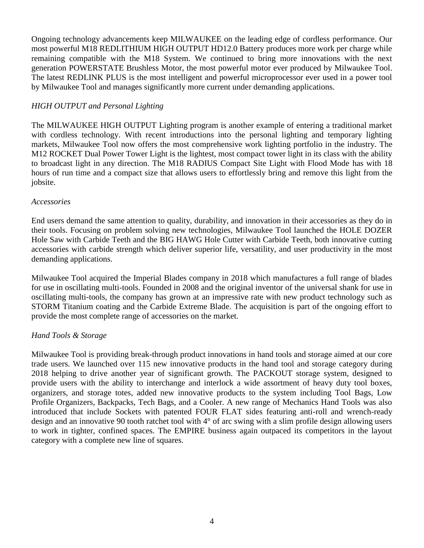Ongoing technology advancements keep MILWAUKEE on the leading edge of cordless performance. Our most powerful M18 REDLITHIUM HIGH OUTPUT HD12.0 Battery produces more work per charge while remaining compatible with the M18 System. We continued to bring more innovations with the next generation POWERSTATE Brushless Motor, the most powerful motor ever produced by Milwaukee Tool. The latest REDLINK PLUS is the most intelligent and powerful microprocessor ever used in a power tool by Milwaukee Tool and manages significantly more current under demanding applications.

## *HIGH OUTPUT and Personal Lighting*

The MILWAUKEE HIGH OUTPUT Lighting program is another example of entering a traditional market with cordless technology. With recent introductions into the personal lighting and temporary lighting markets, Milwaukee Tool now offers the most comprehensive work lighting portfolio in the industry. The M12 ROCKET Dual Power Tower Light is the lightest, most compact tower light in its class with the ability to broadcast light in any direction. The M18 RADIUS Compact Site Light with Flood Mode has with 18 hours of run time and a compact size that allows users to effortlessly bring and remove this light from the jobsite.

### *Accessories*

End users demand the same attention to quality, durability, and innovation in their accessories as they do in their tools. Focusing on problem solving new technologies, Milwaukee Tool launched the HOLE DOZER Hole Saw with Carbide Teeth and the BIG HAWG Hole Cutter with Carbide Teeth, both innovative cutting accessories with carbide strength which deliver superior life, versatility, and user productivity in the most demanding applications.

Milwaukee Tool acquired the Imperial Blades company in 2018 which manufactures a full range of blades for use in oscillating multi-tools. Founded in 2008 and the original inventor of the universal shank for use in oscillating multi-tools, the company has grown at an impressive rate with new product technology such as STORM Titanium coating and the Carbide Extreme Blade. The acquisition is part of the ongoing effort to provide the most complete range of accessories on the market.

## *Hand Tools & Storage*

Milwaukee Tool is providing break-through product innovations in hand tools and storage aimed at our core trade users. We launched over 115 new innovative products in the hand tool and storage category during 2018 helping to drive another year of significant growth. The PACKOUT storage system, designed to provide users with the ability to interchange and interlock a wide assortment of heavy duty tool boxes, organizers, and storage totes, added new innovative products to the system including Tool Bags, Low Profile Organizers, Backpacks, Tech Bags, and a Cooler. A new range of Mechanics Hand Tools was also introduced that include Sockets with patented FOUR FLAT sides featuring anti-roll and wrench-ready design and an innovative 90 tooth ratchet tool with 4° of arc swing with a slim profile design allowing users to work in tighter, confined spaces. The EMPIRE business again outpaced its competitors in the layout category with a complete new line of squares.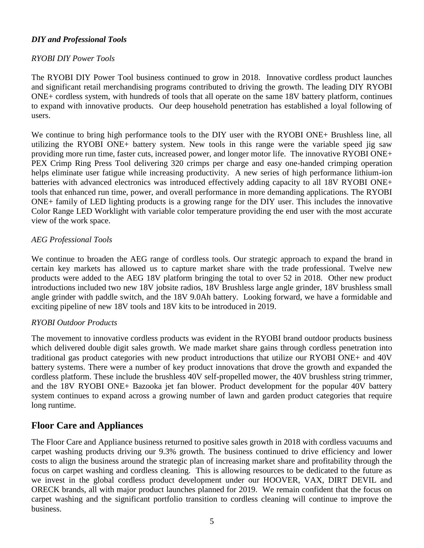## *DIY and Professional Tools*

# *RYOBI DIY Power Tools*

The RYOBI DIY Power Tool business continued to grow in 2018. Innovative cordless product launches and significant retail merchandising programs contributed to driving the growth. The leading DIY RYOBI ONE+ cordless system, with hundreds of tools that all operate on the same 18V battery platform, continues to expand with innovative products. Our deep household penetration has established a loyal following of users.

We continue to bring high performance tools to the DIY user with the RYOBI ONE+ Brushless line, all utilizing the RYOBI ONE+ battery system. New tools in this range were the variable speed jig saw providing more run time, faster cuts, increased power, and longer motor life. The innovative RYOBI ONE+ PEX Crimp Ring Press Tool delivering 320 crimps per charge and easy one-handed crimping operation helps eliminate user fatigue while increasing productivity. A new series of high performance lithium-ion batteries with advanced electronics was introduced effectively adding capacity to all 18V RYOBI ONE+ tools that enhanced run time, power, and overall performance in more demanding applications. The RYOBI ONE+ family of LED lighting products is a growing range for the DIY user. This includes the innovative Color Range LED Worklight with variable color temperature providing the end user with the most accurate view of the work space.

## *AEG Professional Tools*

We continue to broaden the AEG range of cordless tools. Our strategic approach to expand the brand in certain key markets has allowed us to capture market share with the trade professional. Twelve new products were added to the AEG 18V platform bringing the total to over 52 in 2018. Other new product introductions included two new 18V jobsite radios, 18V Brushless large angle grinder, 18V brushless small angle grinder with paddle switch, and the 18V 9.0Ah battery. Looking forward, we have a formidable and exciting pipeline of new 18V tools and 18V kits to be introduced in 2019.

## *RYOBI Outdoor Products*

The movement to innovative cordless products was evident in the RYOBI brand outdoor products business which delivered double digit sales growth. We made market share gains through cordless penetration into traditional gas product categories with new product introductions that utilize our RYOBI ONE+ and 40V battery systems. There were a number of key product innovations that drove the growth and expanded the cordless platform. These include the brushless 40V self-propelled mower, the 40V brushless string trimmer, and the 18V RYOBI ONE+ Bazooka jet fan blower. Product development for the popular 40V battery system continues to expand across a growing number of lawn and garden product categories that require long runtime.

# **Floor Care and Appliances**

The Floor Care and Appliance business returned to positive sales growth in 2018 with cordless vacuums and carpet washing products driving our 9.3% growth. The business continued to drive efficiency and lower costs to align the business around the strategic plan of increasing market share and profitability through the focus on carpet washing and cordless cleaning. This is allowing resources to be dedicated to the future as we invest in the global cordless product development under our HOOVER, VAX, DIRT DEVIL and ORECK brands, all with major product launches planned for 2019. We remain confident that the focus on carpet washing and the significant portfolio transition to cordless cleaning will continue to improve the business.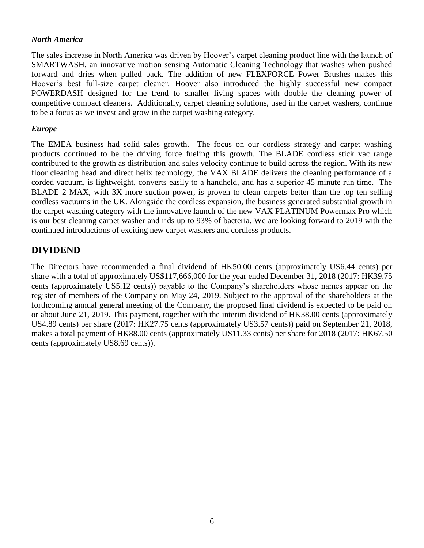### *North America*

The sales increase in North America was driven by Hoover's carpet cleaning product line with the launch of SMARTWASH, an innovative motion sensing Automatic Cleaning Technology that washes when pushed forward and dries when pulled back. The addition of new FLEXFORCE Power Brushes makes this Hoover's best full-size carpet cleaner. Hoover also introduced the highly successful new compact POWERDASH designed for the trend to smaller living spaces with double the cleaning power of competitive compact cleaners. Additionally, carpet cleaning solutions, used in the carpet washers, continue to be a focus as we invest and grow in the carpet washing category.

### *Europe*

The EMEA business had solid sales growth. The focus on our cordless strategy and carpet washing products continued to be the driving force fueling this growth. The BLADE cordless stick vac range contributed to the growth as distribution and sales velocity continue to build across the region. With its new floor cleaning head and direct helix technology, the VAX BLADE delivers the cleaning performance of a corded vacuum, is lightweight, converts easily to a handheld, and has a superior 45 minute run time. The BLADE 2 MAX, with 3X more suction power, is proven to clean carpets better than the top ten selling cordless vacuums in the UK. Alongside the cordless expansion, the business generated substantial growth in the carpet washing category with the innovative launch of the new VAX PLATINUM Powermax Pro which is our best cleaning carpet washer and rids up to 93% of bacteria. We are looking forward to 2019 with the continued introductions of exciting new carpet washers and cordless products.

# **DIVIDEND**

The Directors have recommended a final dividend of HK50.00 cents (approximately US6.44 cents) per share with a total of approximately US\$117,666,000 for the year ended December 31, 2018 (2017: HK39.75 cents (approximately US5.12 cents)) payable to the Company's shareholders whose names appear on the register of members of the Company on May 24, 2019. Subject to the approval of the shareholders at the forthcoming annual general meeting of the Company, the proposed final dividend is expected to be paid on or about June 21, 2019. This payment, together with the interim dividend of HK38.00 cents (approximately US4.89 cents) per share (2017: HK27.75 cents (approximately US3.57 cents)) paid on September 21, 2018, makes a total payment of HK88.00 cents (approximately US11.33 cents) per share for 2018 (2017: HK67.50 cents (approximately US8.69 cents)).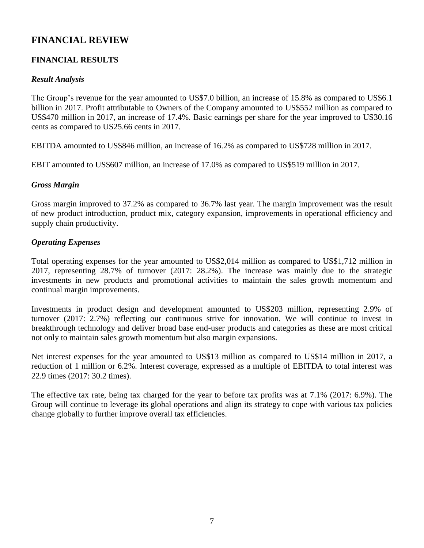# **FINANCIAL REVIEW**

# **FINANCIAL RESULTS**

### *Result Analysis*

The Group's revenue for the year amounted to US\$7.0 billion, an increase of 15.8% as compared to US\$6.1 billion in 2017. Profit attributable to Owners of the Company amounted to US\$552 million as compared to US\$470 million in 2017, an increase of 17.4%. Basic earnings per share for the year improved to US30.16 cents as compared to US25.66 cents in 2017.

EBITDA amounted to US\$846 million, an increase of 16.2% as compared to US\$728 million in 2017.

EBIT amounted to US\$607 million, an increase of 17.0% as compared to US\$519 million in 2017.

### *Gross Margin*

Gross margin improved to 37.2% as compared to 36.7% last year. The margin improvement was the result of new product introduction, product mix, category expansion, improvements in operational efficiency and supply chain productivity.

## *Operating Expenses*

Total operating expenses for the year amounted to US\$2,014 million as compared to US\$1,712 million in 2017, representing 28.7% of turnover (2017: 28.2%). The increase was mainly due to the strategic investments in new products and promotional activities to maintain the sales growth momentum and continual margin improvements.

Investments in product design and development amounted to US\$203 million, representing 2.9% of turnover (2017: 2.7%) reflecting our continuous strive for innovation. We will continue to invest in breakthrough technology and deliver broad base end-user products and categories as these are most critical not only to maintain sales growth momentum but also margin expansions.

Net interest expenses for the year amounted to US\$13 million as compared to US\$14 million in 2017, a reduction of 1 million or 6.2%. Interest coverage, expressed as a multiple of EBITDA to total interest was 22.9 times (2017: 30.2 times).

The effective tax rate, being tax charged for the year to before tax profits was at 7.1% (2017: 6.9%). The Group will continue to leverage its global operations and align its strategy to cope with various tax policies change globally to further improve overall tax efficiencies.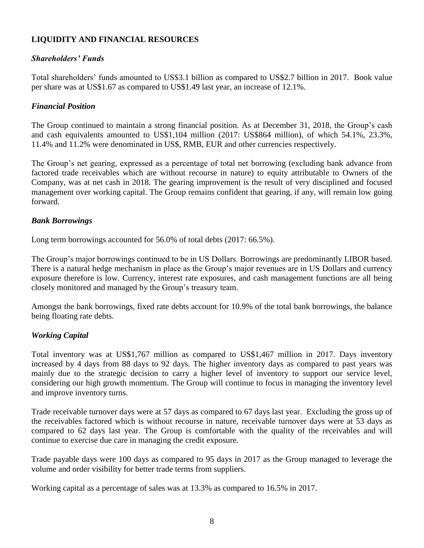# **LIQUIDITY AND FINANCIAL RESOURCES**

# *Shareholders' Funds*

Total shareholders' funds amounted to US\$3.1 billion as compared to US\$2.7 billion in 2017. Book value per share was at US\$1.67 as compared to US\$1.49 last year, an increase of 12.1%.

# *Financial Position*

The Group continued to maintain a strong financial position. As at December 31, 2018, the Group's cash and cash equivalents amounted to US\$1,104 million (2017: US\$864 million), of which 54.1%, 23.3%, 11.4% and 11.2% were denominated in US\$, RMB, EUR and other currencies respectively.

The Group's net gearing, expressed as a percentage of total net borrowing (excluding bank advance from factored trade receivables which are without recourse in nature) to equity attributable to Owners of the Company, was at net cash in 2018. The gearing improvement is the result of very disciplined and focused management over working capital. The Group remains confident that gearing, if any, will remain low going forward.

## *Bank Borrowings*

Long term borrowings accounted for 56.0% of total debts (2017: 66.5%).

The Group's major borrowings continued to be in US Dollars. Borrowings are predominantly LIBOR based. There is a natural hedge mechanism in place as the Group's major revenues are in US Dollars and currency exposure therefore is low. Currency, interest rate exposures, and cash management functions are all being closely monitored and managed by the Group's treasury team.

Amongst the bank borrowings, fixed rate debts account for 10.9% of the total bank borrowings, the balance being floating rate debts.

# *Working Capital*

Total inventory was at US\$1,767 million as compared to US\$1,467 million in 2017. Days inventory increased by 4 days from 88 days to 92 days. The higher inventory days as compared to past years was mainly due to the strategic decision to carry a higher level of inventory to support our service level, considering our high growth momentum. The Group will continue to focus in managing the inventory level and improve inventory turns.

Trade receivable turnover days were at 57 days as compared to 67 days last year. Excluding the gross up of the receivables factored which is without recourse in nature, receivable turnover days were at 53 days as compared to 62 days last year. The Group is comfortable with the quality of the receivables and will continue to exercise due care in managing the credit exposure.

Trade payable days were 100 days as compared to 95 days in 2017 as the Group managed to leverage the volume and order visibility for better trade terms from suppliers.

Working capital as a percentage of sales was at 13.3% as compared to 16.5% in 2017.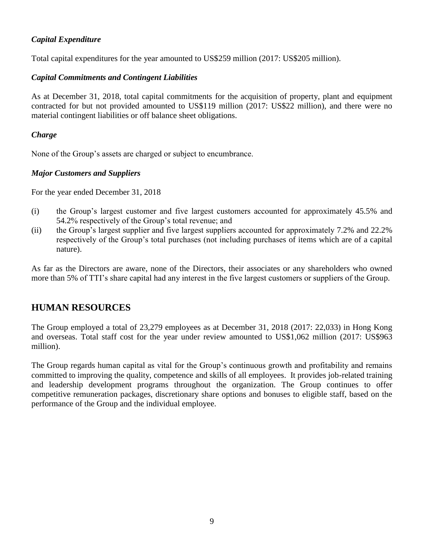# *Capital Expenditure*

Total capital expenditures for the year amounted to US\$259 million (2017: US\$205 million).

# *Capital Commitments and Contingent Liabilities*

As at December 31, 2018, total capital commitments for the acquisition of property, plant and equipment contracted for but not provided amounted to US\$119 million (2017: US\$22 million), and there were no material contingent liabilities or off balance sheet obligations.

# *Charge*

None of the Group's assets are charged or subject to encumbrance.

# *Major Customers and Suppliers*

For the year ended December 31, 2018

- (i) the Group's largest customer and five largest customers accounted for approximately 45.5% and 54.2% respectively of the Group's total revenue; and
- (ii) the Group's largest supplier and five largest suppliers accounted for approximately 7.2% and 22.2% respectively of the Group's total purchases (not including purchases of items which are of a capital nature).

As far as the Directors are aware, none of the Directors, their associates or any shareholders who owned more than 5% of TTI's share capital had any interest in the five largest customers or suppliers of the Group.

# **HUMAN RESOURCES**

The Group employed a total of 23,279 employees as at December 31, 2018 (2017: 22,033) in Hong Kong and overseas. Total staff cost for the year under review amounted to US\$1,062 million (2017: US\$963 million).

The Group regards human capital as vital for the Group's continuous growth and profitability and remains committed to improving the quality, competence and skills of all employees. It provides job-related training and leadership development programs throughout the organization. The Group continues to offer competitive remuneration packages, discretionary share options and bonuses to eligible staff, based on the performance of the Group and the individual employee.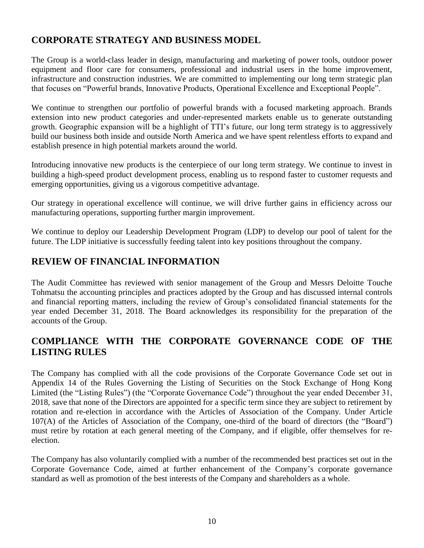# **CORPORATE STRATEGY AND BUSINESS MODEL**

The Group is a world-class leader in design, manufacturing and marketing of power tools, outdoor power equipment and floor care for consumers, professional and industrial users in the home improvement, infrastructure and construction industries. We are committed to implementing our long term strategic plan that focuses on "Powerful brands, Innovative Products, Operational Excellence and Exceptional People".

We continue to strengthen our portfolio of powerful brands with a focused marketing approach. Brands extension into new product categories and under-represented markets enable us to generate outstanding growth. Geographic expansion will be a highlight of TTI's future, our long term strategy is to aggressively build our business both inside and outside North America and we have spent relentless efforts to expand and establish presence in high potential markets around the world.

Introducing innovative new products is the centerpiece of our long term strategy. We continue to invest in building a high-speed product development process, enabling us to respond faster to customer requests and emerging opportunities, giving us a vigorous competitive advantage.

Our strategy in operational excellence will continue, we will drive further gains in efficiency across our manufacturing operations, supporting further margin improvement.

We continue to deploy our Leadership Development Program (LDP) to develop our pool of talent for the future. The LDP initiative is successfully feeding talent into key positions throughout the company.

# **REVIEW OF FINANCIAL INFORMATION**

The Audit Committee has reviewed with senior management of the Group and Messrs Deloitte Touche Tohmatsu the accounting principles and practices adopted by the Group and has discussed internal controls and financial reporting matters, including the review of Group's consolidated financial statements for the year ended December 31, 2018. The Board acknowledges its responsibility for the preparation of the accounts of the Group.

# **COMPLIANCE WITH THE CORPORATE GOVERNANCE CODE OF THE LISTING RULES**

The Company has complied with all the code provisions of the Corporate Governance Code set out in Appendix 14 of the Rules Governing the Listing of Securities on the Stock Exchange of Hong Kong Limited (the "Listing Rules") (the "Corporate Governance Code") throughout the year ended December 31, 2018, save that none of the Directors are appointed for a specific term since they are subject to retirement by rotation and re-election in accordance with the Articles of Association of the Company. Under Article 107(A) of the Articles of Association of the Company, one-third of the board of directors (the "Board") must retire by rotation at each general meeting of the Company, and if eligible, offer themselves for reelection.

The Company has also voluntarily complied with a number of the recommended best practices set out in the Corporate Governance Code, aimed at further enhancement of the Company's corporate governance standard as well as promotion of the best interests of the Company and shareholders as a whole.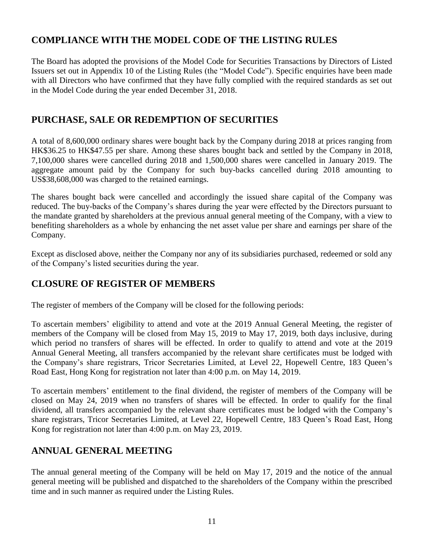# **COMPLIANCE WITH THE MODEL CODE OF THE LISTING RULES**

The Board has adopted the provisions of the Model Code for Securities Transactions by Directors of Listed Issuers set out in Appendix 10 of the Listing Rules (the "Model Code"). Specific enquiries have been made with all Directors who have confirmed that they have fully complied with the required standards as set out in the Model Code during the year ended December 31, 2018.

# **PURCHASE, SALE OR REDEMPTION OF SECURITIES**

A total of 8,600,000 ordinary shares were bought back by the Company during 2018 at prices ranging from HK\$36.25 to HK\$47.55 per share. Among these shares bought back and settled by the Company in 2018, 7,100,000 shares were cancelled during 2018 and 1,500,000 shares were cancelled in January 2019. The aggregate amount paid by the Company for such buy-backs cancelled during 2018 amounting to US\$38,608,000 was charged to the retained earnings.

The shares bought back were cancelled and accordingly the issued share capital of the Company was reduced. The buy-backs of the Company's shares during the year were effected by the Directors pursuant to the mandate granted by shareholders at the previous annual general meeting of the Company, with a view to benefiting shareholders as a whole by enhancing the net asset value per share and earnings per share of the Company.

Except as disclosed above, neither the Company nor any of its subsidiaries purchased, redeemed or sold any of the Company's listed securities during the year.

# **CLOSURE OF REGISTER OF MEMBERS**

The register of members of the Company will be closed for the following periods:

To ascertain members' eligibility to attend and vote at the 2019 Annual General Meeting, the register of members of the Company will be closed from May 15, 2019 to May 17, 2019, both days inclusive, during which period no transfers of shares will be effected. In order to qualify to attend and vote at the 2019 Annual General Meeting, all transfers accompanied by the relevant share certificates must be lodged with the Company's share registrars, Tricor Secretaries Limited, at Level 22, Hopewell Centre, 183 Queen's Road East, Hong Kong for registration not later than 4:00 p.m. on May 14, 2019.

To ascertain members' entitlement to the final dividend, the register of members of the Company will be closed on May 24, 2019 when no transfers of shares will be effected. In order to qualify for the final dividend, all transfers accompanied by the relevant share certificates must be lodged with the Company's share registrars, Tricor Secretaries Limited, at Level 22, Hopewell Centre, 183 Queen's Road East, Hong Kong for registration not later than 4:00 p.m. on May 23, 2019.

# **ANNUAL GENERAL MEETING**

The annual general meeting of the Company will be held on May 17, 2019 and the notice of the annual general meeting will be published and dispatched to the shareholders of the Company within the prescribed time and in such manner as required under the Listing Rules.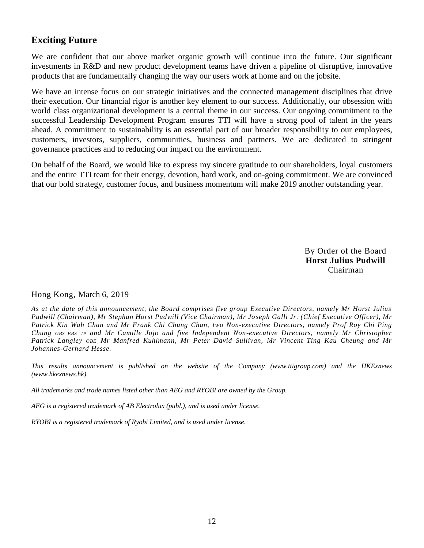# **Exciting Future**

We are confident that our above market organic growth will continue into the future. Our significant investments in R&D and new product development teams have driven a pipeline of disruptive, innovative products that are fundamentally changing the way our users work at home and on the jobsite.

We have an intense focus on our strategic initiatives and the connected management disciplines that drive their execution. Our financial rigor is another key element to our success. Additionally, our obsession with world class organizational development is a central theme in our success. Our ongoing commitment to the successful Leadership Development Program ensures TTI will have a strong pool of talent in the years ahead. A commitment to sustainability is an essential part of our broader responsibility to our employees, customers, investors, suppliers, communities, business and partners. We are dedicated to stringent governance practices and to reducing our impact on the environment.

On behalf of the Board, we would like to express my sincere gratitude to our shareholders, loyal customers and the entire TTI team for their energy, devotion, hard work, and on-going commitment. We are convinced that our bold strategy, customer focus, and business momentum will make 2019 another outstanding year.

> By Order of the Board **Horst Julius Pudwill** Chairman

### Hong Kong, March 6, 2019

*As at the date of this announcement, the Board comprises five group Executive Directors, namely Mr Horst Julius Pudwill (Chairman), Mr Stephan Horst Pudwill (Vice Chairman), Mr Jo seph Galli Jr. (Chief Executive Officer), Mr Patrick Kin Wah Chan and Mr Frank Chi Chung Chan, two Non-executive Directors, namely Prof Roy Chi Ping Chung GBS BBS JP and Mr Camille Jojo and five Independent Non-executive Directors, namely Mr Christopher Patrick Langley OBE, Mr Manfred Kuhlmann, Mr Peter David Sullivan, Mr Vincent Ting Kau Cheung and Mr Johannes-Gerhard Hesse.*

*This results announcement is published on the website of the Company (www.ttigroup.com) and the HKExnews (www.hkexnews.hk).*

*All trademarks and trade names listed other than AEG and RYOBI are owned by the Group.*

*AEG is a registered trademark of AB Electrolux (publ.), and is used under license.*

*RYOBI is a registered trademark of Ryobi Limited, and is used under license.*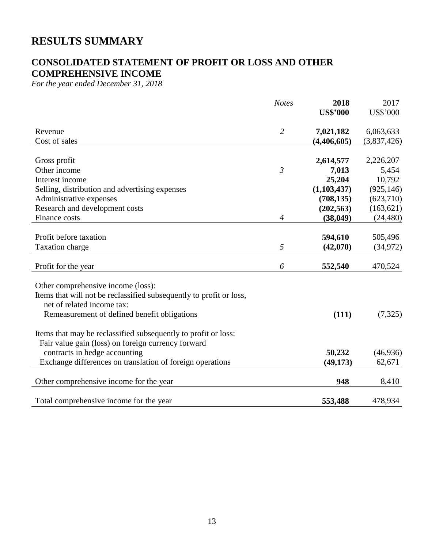# **RESULTS SUMMARY**

# **CONSOLIDATED STATEMENT OF PROFIT OR LOSS AND OTHER COMPREHENSIVE INCOME**

*For the year ended December 31, 2018*

|                                                                                                                      | <b>Notes</b>   | 2018            | 2017            |
|----------------------------------------------------------------------------------------------------------------------|----------------|-----------------|-----------------|
|                                                                                                                      |                | <b>US\$'000</b> | <b>US\$'000</b> |
| Revenue                                                                                                              | $\overline{2}$ | 7,021,182       | 6,063,633       |
| Cost of sales                                                                                                        |                | (4,406,605)     | (3,837,426)     |
| Gross profit                                                                                                         |                | 2,614,577       | 2,226,207       |
| Other income                                                                                                         | $\mathfrak{Z}$ | 7,013           | 5,454           |
| Interest income                                                                                                      |                | 25,204          | 10,792          |
| Selling, distribution and advertising expenses                                                                       |                | (1, 103, 437)   | (925, 146)      |
| Administrative expenses                                                                                              |                | (708, 135)      | (623,710)       |
| Research and development costs                                                                                       |                | (202, 563)      | (163, 621)      |
| Finance costs                                                                                                        | $\overline{4}$ | (38, 049)       | (24, 480)       |
|                                                                                                                      |                |                 |                 |
| Profit before taxation                                                                                               |                | 594,610         | 505,496         |
| Taxation charge                                                                                                      | 5              | (42,070)        | (34, 972)       |
| Profit for the year                                                                                                  | 6              | 552,540         | 470,524         |
| Other comprehensive income (loss):                                                                                   |                |                 |                 |
| Items that will not be reclassified subsequently to profit or loss,                                                  |                |                 |                 |
| net of related income tax:                                                                                           |                |                 |                 |
| Remeasurement of defined benefit obligations                                                                         |                | (111)           | (7, 325)        |
| Items that may be reclassified subsequently to profit or loss:<br>Fair value gain (loss) on foreign currency forward |                |                 |                 |
| contracts in hedge accounting                                                                                        |                | 50,232          | (46,936)        |
| Exchange differences on translation of foreign operations                                                            |                | (49, 173)       | 62,671          |
| Other comprehensive income for the year                                                                              |                | 948             | 8,410           |
| Total comprehensive income for the year                                                                              |                | 553,488         | 478,934         |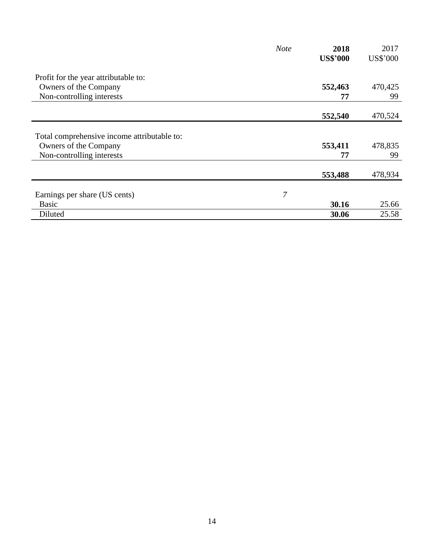|                                             | <b>Note</b> | 2018            | 2017            |
|---------------------------------------------|-------------|-----------------|-----------------|
|                                             |             | <b>US\$'000</b> | <b>US\$'000</b> |
| Profit for the year attributable to:        |             |                 |                 |
| Owners of the Company                       |             | 552,463         | 470,425         |
| Non-controlling interests                   |             | 77              | 99              |
|                                             |             |                 |                 |
|                                             |             | 552,540         | 470,524         |
| Total comprehensive income attributable to: |             |                 |                 |
| Owners of the Company                       |             | 553,411         | 478,835         |
| Non-controlling interests                   |             | 77              | 99              |
|                                             |             | 553,488         | 478,934         |
| Earnings per share (US cents)               | 7           |                 |                 |
| <b>Basic</b>                                |             | 30.16           | 25.66           |
| Diluted                                     |             | 30.06           | 25.58           |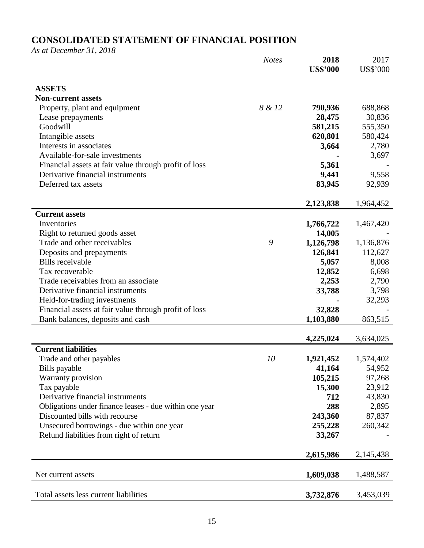# **CONSOLIDATED STATEMENT OF FINANCIAL POSITION**

*As at December 31, 2018*

|                                                        | <b>Notes</b> | 2018<br><b>US\$'000</b> | 2017<br><b>US\$'000</b> |
|--------------------------------------------------------|--------------|-------------------------|-------------------------|
|                                                        |              |                         |                         |
| <b>ASSETS</b>                                          |              |                         |                         |
| <b>Non-current assets</b>                              |              |                         |                         |
| Property, plant and equipment                          | 8 & 12       | 790,936                 | 688,868                 |
| Lease prepayments                                      |              | 28,475                  | 30,836                  |
| Goodwill                                               |              | 581,215                 | 555,350                 |
| Intangible assets                                      |              | 620,801                 | 580,424                 |
| Interests in associates                                |              | 3,664                   | 2,780                   |
| Available-for-sale investments                         |              |                         | 3,697                   |
| Financial assets at fair value through profit of loss  |              | 5,361                   |                         |
| Derivative financial instruments                       |              | 9,441                   | 9,558                   |
| Deferred tax assets                                    |              | 83,945                  | 92,939                  |
|                                                        |              |                         |                         |
|                                                        |              | 2,123,838               | 1,964,452               |
| <b>Current assets</b>                                  |              |                         |                         |
| Inventories                                            |              | 1,766,722               | 1,467,420               |
| Right to returned goods asset                          |              | 14,005                  |                         |
| Trade and other receivables                            | 9            | 1,126,798               | 1,136,876               |
| Deposits and prepayments                               |              | 126,841                 | 112,627                 |
| <b>Bills</b> receivable                                |              | 5,057                   | 8,008                   |
| Tax recoverable                                        |              | 12,852                  | 6,698                   |
| Trade receivables from an associate                    |              | 2,253                   | 2,790                   |
| Derivative financial instruments                       |              | 33,788                  | 3,798                   |
| Held-for-trading investments                           |              |                         | 32,293                  |
| Financial assets at fair value through profit of loss  |              | 32,828                  |                         |
| Bank balances, deposits and cash                       |              | 1,103,880               | 863,515                 |
|                                                        |              | 4,225,024               | 3,634,025               |
| <b>Current liabilities</b>                             |              |                         |                         |
| Trade and other payables                               | 10           | 1,921,452               | 1,574,402               |
| Bills payable                                          |              | 41,164                  | 54,952                  |
| Warranty provision                                     |              | 105,215                 | 97,268                  |
| Tax payable                                            |              | 15,300                  | 23,912                  |
| Derivative financial instruments                       |              | 712                     | 43,830                  |
| Obligations under finance leases - due within one year |              | 288                     | 2,895                   |
| Discounted bills with recourse                         |              | 243,360                 | 87,837                  |
| Unsecured borrowings - due within one year             |              | 255,228                 | 260,342                 |
| Refund liabilities from right of return                |              | 33,267                  |                         |
|                                                        |              |                         |                         |
|                                                        |              | 2,615,986               | 2,145,438               |
|                                                        |              |                         |                         |
| Net current assets                                     |              | 1,609,038               | 1,488,587               |
| Total assets less current liabilities                  |              | 3,732,876               | 3,453,039               |
|                                                        |              |                         |                         |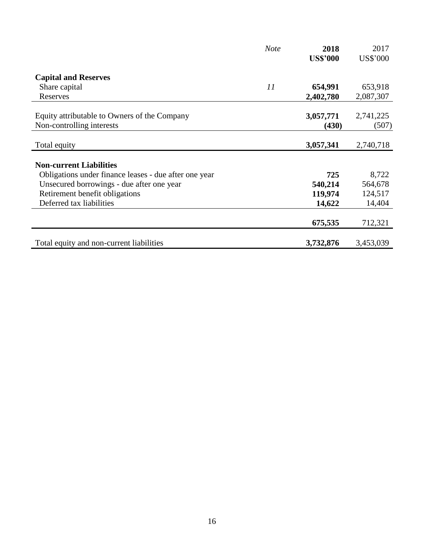|                                                       | <b>Note</b> | 2018<br><b>US\$'000</b> | 2017<br><b>US\$'000</b> |
|-------------------------------------------------------|-------------|-------------------------|-------------------------|
| <b>Capital and Reserves</b>                           |             |                         |                         |
|                                                       | 11          | 654,991                 | 653,918                 |
| Share capital<br>Reserves                             |             |                         | 2,087,307               |
|                                                       |             | 2,402,780               |                         |
| Equity attributable to Owners of the Company          |             | 3,057,771               | 2,741,225               |
| Non-controlling interests                             |             | (430)                   | (507)                   |
|                                                       |             |                         |                         |
| Total equity                                          |             | 3,057,341               | 2,740,718               |
|                                                       |             |                         |                         |
| <b>Non-current Liabilities</b>                        |             |                         |                         |
| Obligations under finance leases - due after one year |             | 725                     | 8,722                   |
| Unsecured borrowings - due after one year             |             | 540,214                 | 564,678                 |
| Retirement benefit obligations                        |             | 119,974                 | 124,517                 |
| Deferred tax liabilities                              |             | 14,622                  | 14,404                  |
|                                                       |             |                         |                         |
|                                                       |             | 675,535                 | 712,321                 |
|                                                       |             |                         |                         |
| Total equity and non-current liabilities              |             | 3,732,876               | 3,453,039               |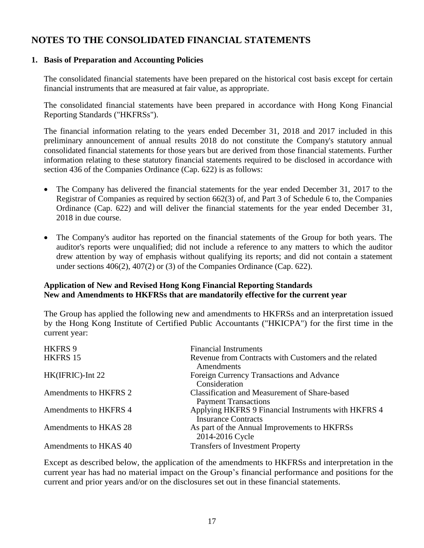# **NOTES TO THE CONSOLIDATED FINANCIAL STATEMENTS**

### **1. Basis of Preparation and Accounting Policies**

The consolidated financial statements have been prepared on the historical cost basis except for certain financial instruments that are measured at fair value, as appropriate.

The consolidated financial statements have been prepared in accordance with Hong Kong Financial Reporting Standards ("HKFRSs").

The financial information relating to the years ended December 31, 2018 and 2017 included in this preliminary announcement of annual results 2018 do not constitute the Company's statutory annual consolidated financial statements for those years but are derived from those financial statements. Further information relating to these statutory financial statements required to be disclosed in accordance with section 436 of the Companies Ordinance (Cap. 622) is as follows:

- The Company has delivered the financial statements for the year ended December 31, 2017 to the Registrar of Companies as required by section 662(3) of, and Part 3 of Schedule 6 to, the Companies Ordinance (Cap. 622) and will deliver the financial statements for the year ended December 31, 2018 in due course.
- The Company's auditor has reported on the financial statements of the Group for both years. The auditor's reports were unqualified; did not include a reference to any matters to which the auditor drew attention by way of emphasis without qualifying its reports; and did not contain a statement under sections 406(2), 407(2) or (3) of the Companies Ordinance (Cap. 622).

### **Application of New and Revised Hong Kong Financial Reporting Standards New and Amendments to HKFRSs that are mandatorily effective for the current year**

The Group has applied the following new and amendments to HKFRSs and an interpretation issued by the Hong Kong Institute of Certified Public Accountants ("HKICPA") for the first time in the current year:

| HKFRS 9               | <b>Financial Instruments</b>                                                        |
|-----------------------|-------------------------------------------------------------------------------------|
| HKFRS 15              | Revenue from Contracts with Customers and the related<br>Amendments                 |
| HK(IFRIC)-Int 22      | Foreign Currency Transactions and Advance<br>Consideration                          |
| Amendments to HKFRS 2 | <b>Classification and Measurement of Share-based</b><br><b>Payment Transactions</b> |
| Amendments to HKFRS 4 | Applying HKFRS 9 Financial Instruments with HKFRS 4<br><b>Insurance Contracts</b>   |
| Amendments to HKAS 28 | As part of the Annual Improvements to HKFRSs<br>2014-2016 Cycle                     |
| Amendments to HKAS 40 | <b>Transfers of Investment Property</b>                                             |

Except as described below, the application of the amendments to HKFRSs and interpretation in the current year has had no material impact on the Group's financial performance and positions for the current and prior years and/or on the disclosures set out in these financial statements.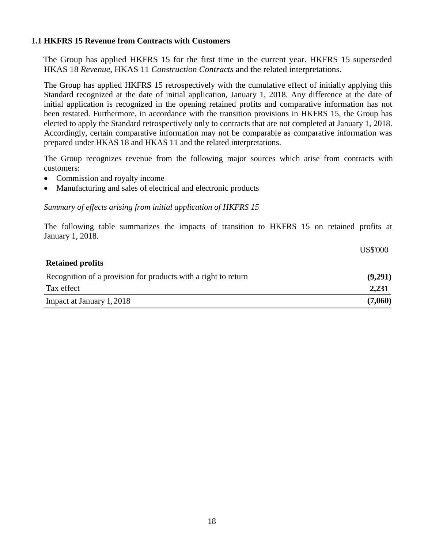### **1.1 HKFRS 15 Revenue from Contracts with Customers**

The Group has applied HKFRS 15 for the first time in the current year. HKFRS 15 superseded HKAS 18 *Revenue*, HKAS 11 *Construction Contracts* and the related interpretations.

The Group has applied HKFRS 15 retrospectively with the cumulative effect of initially applying this Standard recognized at the date of initial application, January 1, 2018. Any difference at the date of initial application is recognized in the opening retained profits and comparative information has not been restated. Furthermore, in accordance with the transition provisions in HKFRS 15, the Group has elected to apply the Standard retrospectively only to contracts that are not completed at January 1, 2018. Accordingly, certain comparative information may not be comparable as comparative information was prepared under HKAS 18 and HKAS 11 and the related interpretations.

The Group recognizes revenue from the following major sources which arise from contracts with customers:

- Commission and royalty income
- Manufacturing and sales of electrical and electronic products

*Summary of effects arising from initial application of HKFRS 15*

The following table summarizes the impacts of transition to HKFRS 15 on retained profits at January 1, 2018.

|                                                                | <b>US\$'000</b> |
|----------------------------------------------------------------|-----------------|
| <b>Retained profits</b>                                        |                 |
| Recognition of a provision for products with a right to return | (9,291)         |
| Tax effect                                                     | 2,231           |
| Impact at January 1, 2018                                      | (7,060)         |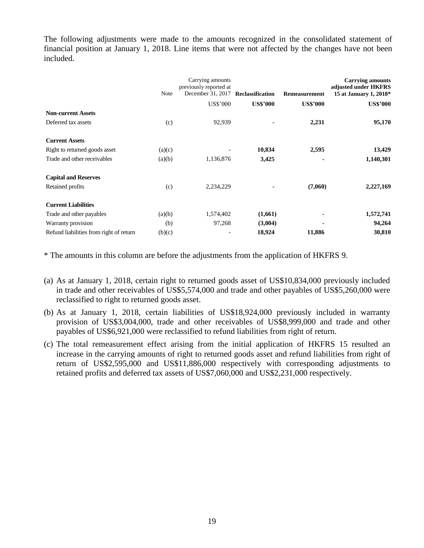The following adjustments were made to the amounts recognized in the consolidated statement of financial position at January 1, 2018. Line items that were not affected by the changes have not been included.

|                                         | Note   | Carrying amounts<br>previously reported at<br>December 31, 2017<br><b>US\$'000</b> | Reclassification<br><b>US\$'000</b> | Remeasurement<br><b>US\$'000</b> | <b>Carrying amounts</b><br>adjusted under HKFRS<br>15 at January 1, 2018*<br><b>US\$'000</b> |
|-----------------------------------------|--------|------------------------------------------------------------------------------------|-------------------------------------|----------------------------------|----------------------------------------------------------------------------------------------|
| <b>Non-current Assets</b>               |        |                                                                                    |                                     |                                  |                                                                                              |
| Deferred tax assets                     | (c)    | 92,939                                                                             |                                     | 2,231                            | 95,170                                                                                       |
| <b>Current Assets</b>                   |        |                                                                                    |                                     |                                  |                                                                                              |
| Right to returned goods asset           | (a)(c) |                                                                                    | 10,834                              | 2,595                            | 13,429                                                                                       |
| Trade and other receivables             | (a)(b) | 1,136,876                                                                          | 3,425                               |                                  | 1,140,301                                                                                    |
| <b>Capital and Reserves</b>             |        |                                                                                    |                                     |                                  |                                                                                              |
| Retained profits                        | (c)    | 2,234,229                                                                          |                                     | (7,060)                          | 2,227,169                                                                                    |
| <b>Current Liabilities</b>              |        |                                                                                    |                                     |                                  |                                                                                              |
| Trade and other payables                | (a)(b) | 1,574,402                                                                          | (1,661)                             |                                  | 1,572,741                                                                                    |
| Warranty provision                      | (b)    | 97,268                                                                             | (3,004)                             |                                  | 94,264                                                                                       |
| Refund liabilities from right of return | (b)(c) |                                                                                    | 18,924                              | 11,886                           | 30,810                                                                                       |

\* The amounts in this column are before the adjustments from the application of HKFRS 9.

- (a) As at January 1, 2018, certain right to returned goods asset of US\$10,834,000 previously included in trade and other receivables of US\$5,574,000 and trade and other payables of US\$5,260,000 were reclassified to right to returned goods asset.
- (b) As at January 1, 2018, certain liabilities of US\$18,924,000 previously included in warranty provision of US\$3,004,000, trade and other receivables of US\$8,999,000 and trade and other payables of US\$6,921,000 were reclassified to refund liabilities from right of return.
- (c) The total remeasurement effect arising from the initial application of HKFRS 15 resulted an increase in the carrying amounts of right to returned goods asset and refund liabilities from right of return of US\$2,595,000 and US\$11,886,000 respectively with corresponding adjustments to retained profits and deferred tax assets of US\$7,060,000 and US\$2,231,000 respectively.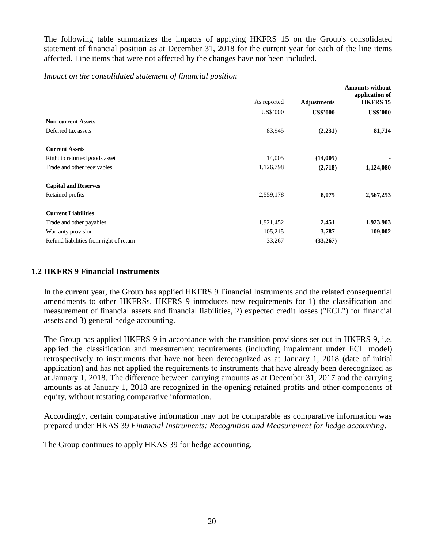The following table summarizes the impacts of applying HKFRS 15 on the Group's consolidated statement of financial position as at December 31, 2018 for the current year for each of the line items affected. Line items that were not affected by the changes have not been included.

### *Impact on the consolidated statement of financial position*

|                                         | As reported     | <b>Adjustments</b> | <b>Amounts without</b><br>application of<br><b>HKFRS 15</b> |
|-----------------------------------------|-----------------|--------------------|-------------------------------------------------------------|
|                                         | <b>US\$'000</b> | <b>US\$'000</b>    | <b>US\$'000</b>                                             |
| <b>Non-current Assets</b>               |                 |                    |                                                             |
| Deferred tax assets                     | 83,945          | (2,231)            | 81,714                                                      |
| <b>Current Assets</b>                   |                 |                    |                                                             |
| Right to returned goods asset           | 14,005          | (14,005)           |                                                             |
| Trade and other receivables             | 1,126,798       | (2,718)            | 1,124,080                                                   |
| <b>Capital and Reserves</b>             |                 |                    |                                                             |
| Retained profits                        | 2,559,178       | 8,075              | 2,567,253                                                   |
| <b>Current Liabilities</b>              |                 |                    |                                                             |
| Trade and other payables                | 1,921,452       | 2,451              | 1,923,903                                                   |
| Warranty provision                      | 105,215         | 3,787              | 109,002                                                     |
| Refund liabilities from right of return | 33,267          | (33,267)           |                                                             |

### **1.2 HKFRS 9 Financial Instruments**

In the current year, the Group has applied HKFRS 9 Financial Instruments and the related consequential amendments to other HKFRSs. HKFRS 9 introduces new requirements for 1) the classification and measurement of financial assets and financial liabilities, 2) expected credit losses ("ECL") for financial assets and 3) general hedge accounting.

The Group has applied HKFRS 9 in accordance with the transition provisions set out in HKFRS 9, i.e. applied the classification and measurement requirements (including impairment under ECL model) retrospectively to instruments that have not been derecognized as at January 1, 2018 (date of initial application) and has not applied the requirements to instruments that have already been derecognized as at January 1, 2018. The difference between carrying amounts as at December 31, 2017 and the carrying amounts as at January 1, 2018 are recognized in the opening retained profits and other components of equity, without restating comparative information.

Accordingly, certain comparative information may not be comparable as comparative information was prepared under HKAS 39 *Financial Instruments: Recognition and Measurement for hedge accounting*.

The Group continues to apply HKAS 39 for hedge accounting.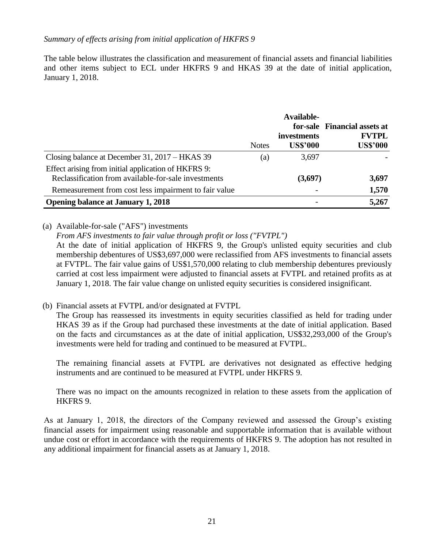### *Summary of effects arising from initial application of HKFRS 9*

The table below illustrates the classification and measurement of financial assets and financial liabilities and other items subject to ECL under HKFRS 9 and HKAS 39 at the date of initial application, January 1, 2018.

|                                                                                                             | <b>Notes</b> | Available-<br>investments<br><b>US\$'000</b> | for-sale Financial assets at<br><b>FVTPL</b><br><b>US\$'000</b> |
|-------------------------------------------------------------------------------------------------------------|--------------|----------------------------------------------|-----------------------------------------------------------------|
| Closing balance at December 31, 2017 – HKAS 39                                                              | (a)          | 3,697                                        |                                                                 |
| Effect arising from initial application of HKFRS 9:<br>Reclassification from available-for-sale investments |              | (3,697)                                      | 3,697                                                           |
| Remeasurement from cost less impairment to fair value                                                       |              |                                              | 1,570                                                           |
| <b>Opening balance at January 1, 2018</b>                                                                   |              |                                              | 5,267                                                           |

### (a) Available-for-sale ("AFS") investments

#### *From AFS investments to fair value through profit or loss ("FVTPL")*

At the date of initial application of HKFRS 9, the Group's unlisted equity securities and club membership debentures of US\$3,697,000 were reclassified from AFS investments to financial assets at FVTPL. The fair value gains of US\$1,570,000 relating to club membership debentures previously carried at cost less impairment were adjusted to financial assets at FVTPL and retained profits as at January 1, 2018. The fair value change on unlisted equity securities is considered insignificant.

### (b) Financial assets at FVTPL and/or designated at FVTPL

The Group has reassessed its investments in equity securities classified as held for trading under HKAS 39 as if the Group had purchased these investments at the date of initial application. Based on the facts and circumstances as at the date of initial application, US\$32,293,000 of the Group's investments were held for trading and continued to be measured at FVTPL.

The remaining financial assets at FVTPL are derivatives not designated as effective hedging instruments and are continued to be measured at FVTPL under HKFRS 9.

There was no impact on the amounts recognized in relation to these assets from the application of HKFRS 9.

As at January 1, 2018, the directors of the Company reviewed and assessed the Group's existing financial assets for impairment using reasonable and supportable information that is available without undue cost or effort in accordance with the requirements of HKFRS 9. The adoption has not resulted in any additional impairment for financial assets as at January 1, 2018.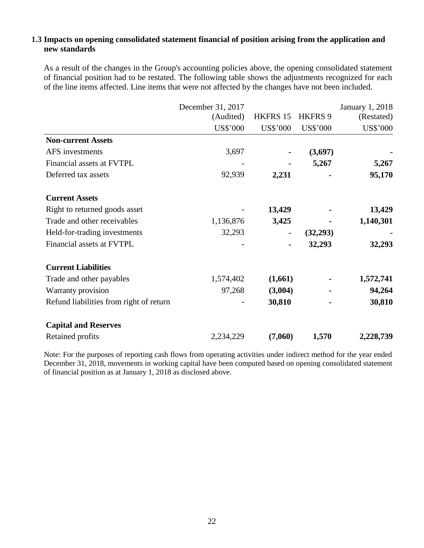### **1.3 Impacts on opening consolidated statement financial of position arising from the application and new standards**

As a result of the changes in the Group's accounting policies above, the opening consolidated statement of financial position had to be restated. The following table shows the adjustments recognized for each of the line items affected. Line items that were not affected by the changes have not been included.

|                                         | December 31, 2017 |                 |                 | <b>January 1, 2018</b> |
|-----------------------------------------|-------------------|-----------------|-----------------|------------------------|
|                                         | (Audited)         | HKFRS 15        | HKFRS 9         | (Restated)             |
|                                         | <b>US\$'000</b>   | <b>US\$'000</b> | <b>US\$'000</b> | <b>US\$'000</b>        |
| <b>Non-current Assets</b>               |                   |                 |                 |                        |
| AFS investments                         | 3,697             |                 | (3,697)         |                        |
| Financial assets at FVTPL               |                   |                 | 5,267           | 5,267                  |
| Deferred tax assets                     | 92,939            | 2,231           |                 | 95,170                 |
| <b>Current Assets</b>                   |                   |                 |                 |                        |
| Right to returned goods asset           |                   | 13,429          |                 | 13,429                 |
| Trade and other receivables             | 1,136,876         | 3,425           |                 | 1,140,301              |
| Held-for-trading investments            | 32,293            | $\blacksquare$  | (32,293)        |                        |
| Financial assets at FVTPL               |                   | $\blacksquare$  | 32,293          | 32,293                 |
| <b>Current Liabilities</b>              |                   |                 |                 |                        |
| Trade and other payables                | 1,574,402         | (1,661)         |                 | 1,572,741              |
| Warranty provision                      | 97,268            | (3,004)         |                 | 94,264                 |
| Refund liabilities from right of return |                   | 30,810          |                 | 30,810                 |
| <b>Capital and Reserves</b>             |                   |                 |                 |                        |
| Retained profits                        | 2,234,229         | (7,060)         | 1,570           | 2,228,739              |

Note: For the purposes of reporting cash flows from operating activities under indirect method for the year ended December 31, 2018, movements in working capital have been computed based on opening consolidated statement of financial position as at January 1, 2018 as disclosed above.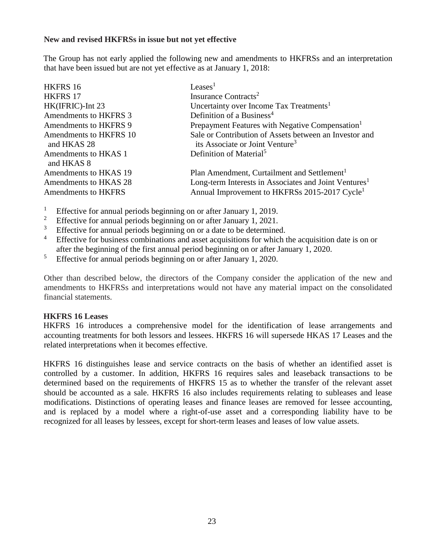### **New and revised HKFRSs in issue but not yet effective**

The Group has not early applied the following new and amendments to HKFRSs and an interpretation that have been issued but are not yet effective as at January 1, 2018:

| HKFRS 16               | Leases $1$                                                        |
|------------------------|-------------------------------------------------------------------|
| HKFRS 17               | Insurance Contracts <sup>2</sup>                                  |
| HK(IFRIC)-Int 23       | Uncertainty over Income Tax Treatments <sup>1</sup>               |
| Amendments to HKFRS 3  | Definition of a Business <sup>4</sup>                             |
| Amendments to HKFRS 9  | Prepayment Features with Negative Compensation <sup>1</sup>       |
| Amendments to HKFRS 10 | Sale or Contribution of Assets between an Investor and            |
| and HKAS 28            | its Associate or Joint Venture <sup>3</sup>                       |
| Amendments to HKAS 1   | Definition of Material <sup>5</sup>                               |
| and HKAS 8             |                                                                   |
| Amendments to HKAS 19  | Plan Amendment, Curtailment and Settlement <sup>1</sup>           |
| Amendments to HKAS 28  | Long-term Interests in Associates and Joint Ventures <sup>1</sup> |
| Amendments to HKFRS    | Annual Improvement to HKFRSs 2015-2017 Cycle <sup>1</sup>         |

<sup>1</sup> Effective for annual periods beginning on or after January 1, 2019.

<sup>2</sup> Effective for annual periods beginning on or after January 1, 2021.

 $\frac{3}{4}$  Effective for annual periods beginning on or a date to be determined.

Effective for business combinations and asset acquisitions for which the acquisition date is on or after the beginning of the first annual period beginning on or after January 1, 2020.

<sup>5</sup> Effective for annual periods beginning on or after January 1, 2020.

Other than described below, the directors of the Company consider the application of the new and amendments to HKFRSs and interpretations would not have any material impact on the consolidated financial statements.

### **HKFRS 16 Leases**

HKFRS 16 introduces a comprehensive model for the identification of lease arrangements and accounting treatments for both lessors and lessees. HKFRS 16 will supersede HKAS 17 Leases and the related interpretations when it becomes effective.

HKFRS 16 distinguishes lease and service contracts on the basis of whether an identified asset is controlled by a customer. In addition, HKFRS 16 requires sales and leaseback transactions to be determined based on the requirements of HKFRS 15 as to whether the transfer of the relevant asset should be accounted as a sale. HKFRS 16 also includes requirements relating to subleases and lease modifications. Distinctions of operating leases and finance leases are removed for lessee accounting, and is replaced by a model where a right-of-use asset and a corresponding liability have to be recognized for all leases by lessees, except for short-term leases and leases of low value assets.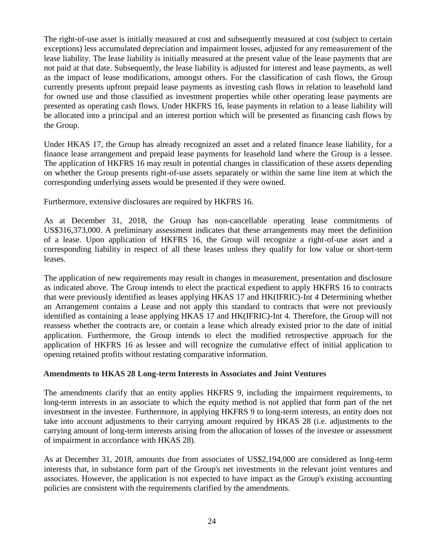The right-of-use asset is initially measured at cost and subsequently measured at cost (subject to certain exceptions) less accumulated depreciation and impairment losses, adjusted for any remeasurement of the lease liability. The lease liability is initially measured at the present value of the lease payments that are not paid at that date. Subsequently, the lease liability is adjusted for interest and lease payments, as well as the impact of lease modifications, amongst others. For the classification of cash flows, the Group currently presents upfront prepaid lease payments as investing cash flows in relation to leasehold land for owned use and those classified as investment properties while other operating lease payments are presented as operating cash flows. Under HKFRS 16, lease payments in relation to a lease liability will be allocated into a principal and an interest portion which will be presented as financing cash flows by the Group.

Under HKAS 17, the Group has already recognized an asset and a related finance lease liability, for a finance lease arrangement and prepaid lease payments for leasehold land where the Group is a lessee. The application of HKFRS 16 may result in potential changes in classification of these assets depending on whether the Group presents right-of-use assets separately or within the same line item at which the corresponding underlying assets would be presented if they were owned.

Furthermore, extensive disclosures are required by HKFRS 16.

As at December 31, 2018, the Group has non-cancellable operating lease commitments of US\$316,373,000. A preliminary assessment indicates that these arrangements may meet the definition of a lease. Upon application of HKFRS 16, the Group will recognize a right-of-use asset and a corresponding liability in respect of all these leases unless they qualify for low value or short-term leases.

The application of new requirements may result in changes in measurement, presentation and disclosure as indicated above. The Group intends to elect the practical expedient to apply HKFRS 16 to contracts that were previously identified as leases applying HKAS 17 and HK(IFRIC)-Int 4 Determining whether an Arrangement contains a Lease and not apply this standard to contracts that were not previously identified as containing a lease applying HKAS 17 and HK(IFRIC)-Int 4. Therefore, the Group will not reassess whether the contracts are, or contain a lease which already existed prior to the date of initial application. Furthermore, the Group intends to elect the modified retrospective approach for the application of HKFRS 16 as lessee and will recognize the cumulative effect of initial application to opening retained profits without restating comparative information.

### **Amendments to HKAS 28 Long-term Interests in Associates and Joint Ventures**

The amendments clarify that an entity applies HKFRS 9, including the impairment requirements, to long-term interests in an associate to which the equity method is not applied that form part of the net investment in the investee. Furthermore, in applying HKFRS 9 to long-term interests, an entity does not take into account adjustments to their carrying amount required by HKAS 28 (i.e. adjustments to the carrying amount of long-term interests arising from the allocation of losses of the investee or assessment of impairment in accordance with HKAS 28).

As at December 31, 2018, amounts due from associates of US\$2,194,000 are considered as long-term interests that, in substance form part of the Group's net investments in the relevant joint ventures and associates. However, the application is not expected to have impact as the Group's existing accounting policies are consistent with the requirements clarified by the amendments.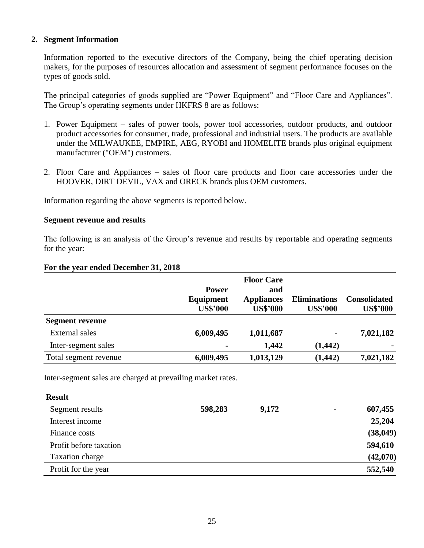#### **2. Segment Information**

Information reported to the executive directors of the Company, being the chief operating decision makers, for the purposes of resources allocation and assessment of segment performance focuses on the types of goods sold.

The principal categories of goods supplied are "Power Equipment" and "Floor Care and Appliances". The Group's operating segments under HKFRS 8 are as follows:

- 1. Power Equipment sales of power tools, power tool accessories, outdoor products, and outdoor product accessories for consumer, trade, professional and industrial users. The products are available under the MILWAUKEE, EMPIRE, AEG, RYOBI and HOMELITE brands plus original equipment manufacturer ("OEM") customers.
- 2. Floor Care and Appliances sales of floor care products and floor care accessories under the HOOVER, DIRT DEVIL, VAX and ORECK brands plus OEM customers.

Information regarding the above segments is reported below.

#### **Segment revenue and results**

The following is an analysis of the Group's revenue and results by reportable and operating segments for the year:

|  |  |  |  | For the year ended December 31, 2018 |  |  |
|--|--|--|--|--------------------------------------|--|--|
|--|--|--|--|--------------------------------------|--|--|

|                        | <b>Power</b><br>Equipment<br><b>US\$'000</b> | <b>Floor Care</b><br>and<br><b>Appliances</b><br><b>US\$'000</b> | <b>Eliminations</b><br><b>US\$'000</b> | <b>Consolidated</b><br><b>US\$'000</b> |
|------------------------|----------------------------------------------|------------------------------------------------------------------|----------------------------------------|----------------------------------------|
| <b>Segment revenue</b> |                                              |                                                                  |                                        |                                        |
| <b>External sales</b>  | 6,009,495                                    | 1,011,687                                                        | ۰                                      | 7,021,182                              |
| Inter-segment sales    | $\blacksquare$                               | 1,442                                                            | (1,442)                                |                                        |
| Total segment revenue  | 6,009,495                                    | 1,013,129                                                        | (1, 442)                               | 7,021,182                              |

Inter-segment sales are charged at prevailing market rates.

| <b>Result</b>          |         |       |                |           |
|------------------------|---------|-------|----------------|-----------|
| Segment results        | 598,283 | 9,172 | $\blacksquare$ | 607,455   |
| Interest income        |         |       |                | 25,204    |
| Finance costs          |         |       |                | (38, 049) |
| Profit before taxation |         |       |                | 594,610   |
| Taxation charge        |         |       |                | (42,070)  |
| Profit for the year    |         |       |                | 552,540   |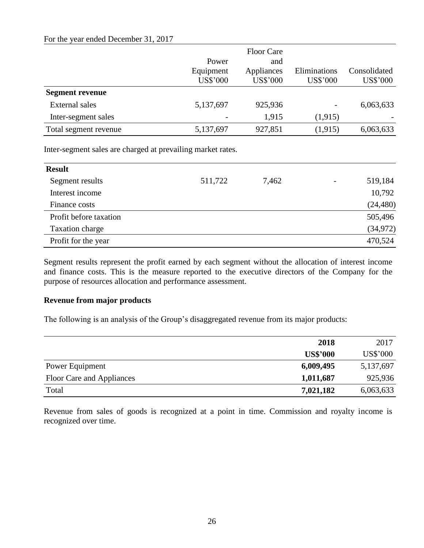#### For the year ended December 31, 2017

|                        | Power<br>Equipment | <b>Floor Care</b><br>and<br>Appliances | Eliminations    | Consolidated    |
|------------------------|--------------------|----------------------------------------|-----------------|-----------------|
|                        | <b>US\$'000</b>    | <b>US\$'000</b>                        | <b>US\$'000</b> | <b>US\$'000</b> |
| <b>Segment revenue</b> |                    |                                        |                 |                 |
| <b>External sales</b>  | 5,137,697          | 925,936                                |                 | 6,063,633       |
| Inter-segment sales    |                    | 1,915                                  | (1,915)         |                 |
| Total segment revenue  | 5,137,697          | 927,851                                | (1,915)         | 6,063,633       |

Inter-segment sales are charged at prevailing market rates.

| <b>Result</b>          |         |       |           |
|------------------------|---------|-------|-----------|
| Segment results        | 511,722 | 7,462 | 519,184   |
| Interest income        |         |       | 10,792    |
| Finance costs          |         |       | (24, 480) |
| Profit before taxation |         |       | 505,496   |
| Taxation charge        |         |       | (34, 972) |
| Profit for the year    |         |       | 470,524   |

Segment results represent the profit earned by each segment without the allocation of interest income and finance costs. This is the measure reported to the executive directors of the Company for the purpose of resources allocation and performance assessment.

### **Revenue from major products**

The following is an analysis of the Group's disaggregated revenue from its major products:

|                           | 2018            | 2017            |
|---------------------------|-----------------|-----------------|
|                           | <b>US\$'000</b> | <b>US\$'000</b> |
| Power Equipment           | 6,009,495       | 5,137,697       |
| Floor Care and Appliances | 1,011,687       | 925,936         |
| Total                     | 7,021,182       | 6,063,633       |

Revenue from sales of goods is recognized at a point in time. Commission and royalty income is recognized over time.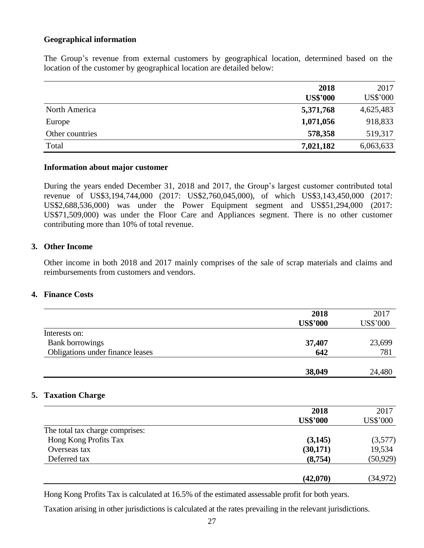### **Geographical information**

The Group's revenue from external customers by geographical location, determined based on the location of the customer by geographical location are detailed below:

|                 | 2018<br><b>US\$'000</b> | 2017<br><b>US\$'000</b> |
|-----------------|-------------------------|-------------------------|
| North America   | 5,371,768               | 4,625,483               |
| Europe          | 1,071,056               | 918,833                 |
| Other countries | 578,358                 | 519,317                 |
| Total           | 7,021,182               | 6,063,633               |

#### **Information about major customer**

During the years ended December 31, 2018 and 2017, the Group's largest customer contributed total revenue of US\$3,194,744,000 (2017: US\$2,760,045,000), of which US\$3,143,450,000 (2017: US\$2,688,536,000) was under the Power Equipment segment and US\$51,294,000 (2017: US\$71,509,000) was under the Floor Care and Appliances segment. There is no other customer contributing more than 10% of total revenue.

#### **3. Other Income**

Other income in both 2018 and 2017 mainly comprises of the sale of scrap materials and claims and reimbursements from customers and vendors.

### **4. Finance Costs**

|                                  | 2018            | 2017            |
|----------------------------------|-----------------|-----------------|
|                                  | <b>US\$'000</b> | <b>US\$'000</b> |
| Interests on:                    |                 |                 |
| <b>Bank borrowings</b>           | 37,407          | 23,699          |
| Obligations under finance leases | 642             | 781             |
|                                  | 38,049          | 24,480          |

### **5. Taxation Charge**

|                                 | 2018            | 2017            |
|---------------------------------|-----------------|-----------------|
|                                 | <b>US\$'000</b> | <b>US\$'000</b> |
| The total tax charge comprises: |                 |                 |
| Hong Kong Profits Tax           | (3,145)         | (3,577)         |
| Overseas tax                    | (30,171)        | 19,534          |
| Deferred tax                    | (8,754)         | (50, 929)       |
|                                 | (42,070)        | (34, 972)       |

Hong Kong Profits Tax is calculated at 16.5% of the estimated assessable profit for both years.

Taxation arising in other jurisdictions is calculated at the rates prevailing in the relevant jurisdictions.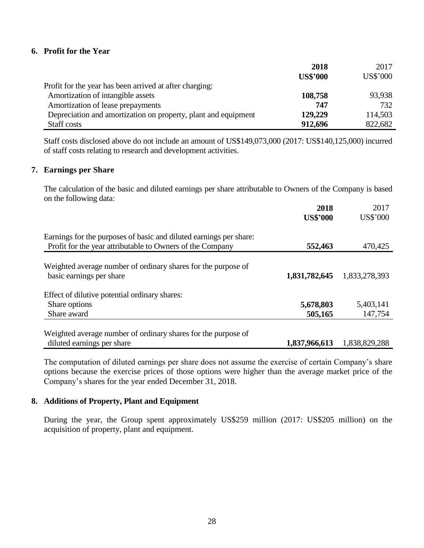### **6. Profit for the Year**

|                                                                | 2018            | 2017            |
|----------------------------------------------------------------|-----------------|-----------------|
|                                                                | <b>US\$'000</b> | <b>US\$'000</b> |
| Profit for the year has been arrived at after charging:        |                 |                 |
| Amortization of intangible assets                              | 108,758         | 93,938          |
| Amortization of lease prepayments                              | 747             | 732             |
| Depreciation and amortization on property, plant and equipment | 129,229         | 114,503         |
| Staff costs                                                    | 912,696         | 822,682         |

Staff costs disclosed above do not include an amount of US\$149,073,000 (2017: US\$140,125,000) incurred of staff costs relating to research and development activities.

### **7. Earnings per Share**

The calculation of the basic and diluted earnings per share attributable to Owners of the Company is based on the following data:

|                                                                                                                                 | 2018<br><b>US\$'000</b> | 2017<br>US\$'000 |
|---------------------------------------------------------------------------------------------------------------------------------|-------------------------|------------------|
| Earnings for the purposes of basic and diluted earnings per share:<br>Profit for the year attributable to Owners of the Company | 552,463                 | 470,425          |
| Weighted average number of ordinary shares for the purpose of<br>basic earnings per share                                       | 1,831,782,645           | 1,833,278,393    |
| Effect of dilutive potential ordinary shares:                                                                                   |                         |                  |
| Share options                                                                                                                   | 5,678,803               | 5,403,141        |
| Share award                                                                                                                     | 505,165                 | 147,754          |
| Weighted average number of ordinary shares for the purpose of<br>diluted earnings per share                                     | 1,837,966,613           | 1,838,829,288    |

The computation of diluted earnings per share does not assume the exercise of certain Company's share options because the exercise prices of those options were higher than the average market price of the Company's shares for the year ended December 31, 2018.

### **8. Additions of Property, Plant and Equipment**

During the year, the Group spent approximately US\$259 million (2017: US\$205 million) on the acquisition of property, plant and equipment.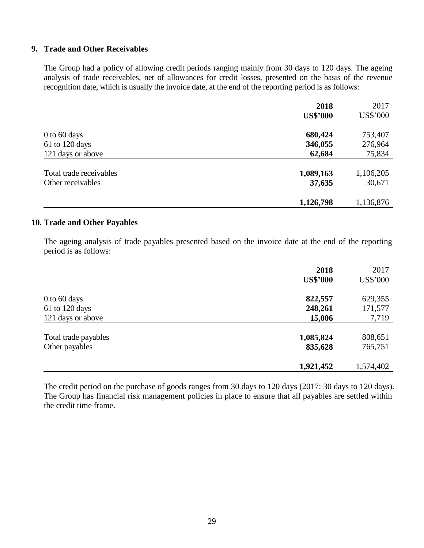### **9. Trade and Other Receivables**

The Group had a policy of allowing credit periods ranging mainly from 30 days to 120 days. The ageing analysis of trade receivables, net of allowances for credit losses, presented on the basis of the revenue recognition date, which is usually the invoice date, at the end of the reporting period is as follows:

|                         | 2018            | 2017            |
|-------------------------|-----------------|-----------------|
|                         | <b>US\$'000</b> | <b>US\$'000</b> |
| $0$ to 60 days          | 680,424         | 753,407         |
| $61$ to 120 days        | 346,055         | 276,964         |
| 121 days or above       | 62,684          | 75,834          |
| Total trade receivables | 1,089,163       | 1,106,205       |
| Other receivables       | 37,635          | 30,671          |
|                         |                 |                 |
|                         | 1,126,798       | 1,136,876       |

### **10. Trade and Other Payables**

The ageing analysis of trade payables presented based on the invoice date at the end of the reporting period is as follows:

|                      | 2018            | 2017            |
|----------------------|-----------------|-----------------|
|                      | <b>US\$'000</b> | <b>US\$'000</b> |
| $0$ to 60 days       | 822,557         | 629,355         |
| 61 to 120 days       | 248,261         | 171,577         |
| 121 days or above    | 15,006          | 7,719           |
| Total trade payables | 1,085,824       | 808,651         |
| Other payables       | 835,628         | 765,751         |
|                      | 1,921,452       | 1,574,402       |

The credit period on the purchase of goods ranges from 30 days to 120 days (2017: 30 days to 120 days). The Group has financial risk management policies in place to ensure that all payables are settled within the credit time frame.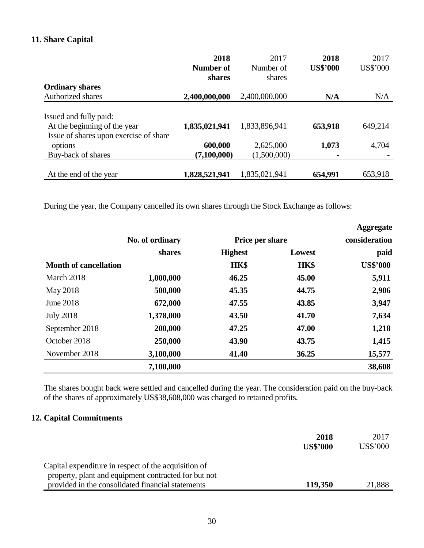# **11. Share Capital**

|                                                                        | 2018             | 2017          | 2018            | 2017            |
|------------------------------------------------------------------------|------------------|---------------|-----------------|-----------------|
|                                                                        | <b>Number of</b> | Number of     | <b>US\$'000</b> | <b>US\$'000</b> |
|                                                                        | shares           | shares        |                 |                 |
| <b>Ordinary shares</b>                                                 |                  |               |                 |                 |
| <b>Authorized shares</b>                                               | 2,400,000,000    | 2,400,000,000 | N/A             | N/A             |
| Issued and fully paid:                                                 |                  |               |                 |                 |
| At the beginning of the year<br>Issue of shares upon exercise of share | 1,835,021,941    | 1,833,896,941 | 653,918         | 649,214         |
| options                                                                | 600,000          | 2,625,000     | 1,073           | 4,704           |
| Buy-back of shares                                                     | (7,100,000)      | (1,500,000)   |                 |                 |
| At the end of the year                                                 | 1,828,521,941    | 1,835,021,941 | 654,991         | 653,918         |

During the year, the Company cancelled its own shares through the Stock Exchange as follows:

|                              |                 |                 |        | <b>Aggregate</b> |
|------------------------------|-----------------|-----------------|--------|------------------|
|                              | No. of ordinary | Price per share |        | consideration    |
|                              | shares          | <b>Highest</b>  | Lowest | paid             |
| <b>Month of cancellation</b> |                 | <b>HK\$</b>     | HK\$   | <b>US\$'000</b>  |
| March 2018                   | 1,000,000       | 46.25           | 45.00  | 5,911            |
| May 2018                     | 500,000         | 45.35           | 44.75  | 2,906            |
| June 2018                    | 672,000         | 47.55           | 43.85  | 3,947            |
| <b>July 2018</b>             | 1,378,000       | 43.50           | 41.70  | 7,634            |
| September 2018               | 200,000         | 47.25           | 47.00  | 1,218            |
| October 2018                 | 250,000         | 43.90           | 43.75  | 1,415            |
| November 2018                | 3,100,000       | 41.40           | 36.25  | 15,577           |
|                              | 7,100,000       |                 |        | 38,608           |

The shares bought back were settled and cancelled during the year. The consideration paid on the buy-back of the shares of approximately US\$38,608,000 was charged to retained profits.

# **12. Capital Commitments**

|                                                      | 2018<br><b>US\$'000</b> | 2017<br><b>US\$'000</b> |
|------------------------------------------------------|-------------------------|-------------------------|
| Capital expenditure in respect of the acquisition of |                         |                         |
| property, plant and equipment contracted for but not |                         |                         |
| provided in the consolidated financial statements    | 119,350                 | 21,888                  |